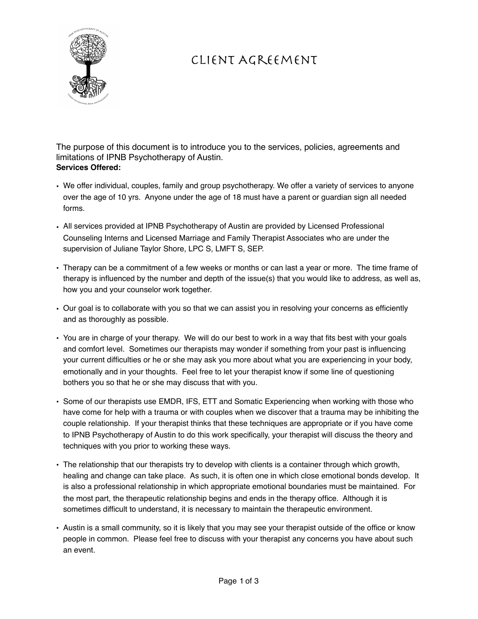

# Client Agreement

The purpose of this document is to introduce you to the services, policies, agreements and limitations of IPNB Psychotherapy of Austin. **Services Offered:**

- We offer individual, couples, family and group psychotherapy. We offer a variety of services to anyone over the age of 10 yrs. Anyone under the age of 18 must have a parent or guardian sign all needed forms.
- All services provided at IPNB Psychotherapy of Austin are provided by Licensed Professional Counseling Interns and Licensed Marriage and Family Therapist Associates who are under the supervision of Juliane Taylor Shore, LPC S, LMFT S, SEP.
- Therapy can be a commitment of a few weeks or months or can last a year or more. The time frame of therapy is influenced by the number and depth of the issue(s) that you would like to address, as well as, how you and your counselor work together.
- Our goal is to collaborate with you so that we can assist you in resolving your concerns as efficiently and as thoroughly as possible.
- You are in charge of your therapy. We will do our best to work in a way that fits best with your goals and comfort level. Sometimes our therapists may wonder if something from your past is influencing your current difficulties or he or she may ask you more about what you are experiencing in your body, emotionally and in your thoughts. Feel free to let your therapist know if some line of questioning bothers you so that he or she may discuss that with you.
- Some of our therapists use EMDR, IFS, ETT and Somatic Experiencing when working with those who have come for help with a trauma or with couples when we discover that a trauma may be inhibiting the couple relationship. If your therapist thinks that these techniques are appropriate or if you have come to IPNB Psychotherapy of Austin to do this work specifically, your therapist will discuss the theory and techniques with you prior to working these ways.
- The relationship that our therapists try to develop with clients is a container through which growth, healing and change can take place. As such, it is often one in which close emotional bonds develop. It is also a professional relationship in which appropriate emotional boundaries must be maintained. For the most part, the therapeutic relationship begins and ends in the therapy office. Although it is sometimes difficult to understand, it is necessary to maintain the therapeutic environment.
- Austin is a small community, so it is likely that you may see your therapist outside of the office or know people in common. Please feel free to discuss with your therapist any concerns you have about such an event.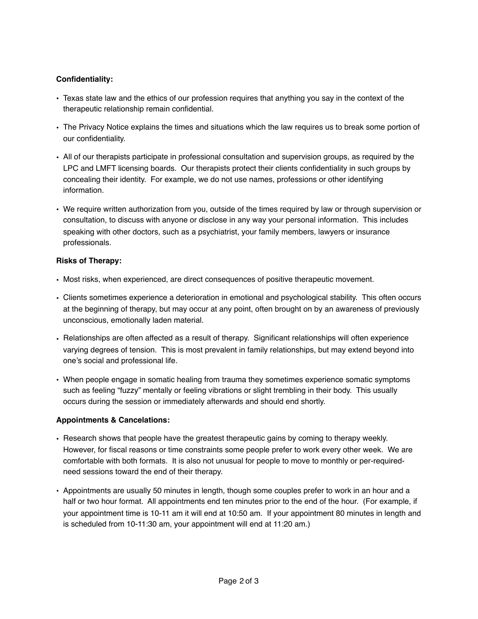## **Confidentiality:**

- Texas state law and the ethics of our profession requires that anything you say in the context of the therapeutic relationship remain confidential.
- The Privacy Notice explains the times and situations which the law requires us to break some portion of our confidentiality.
- All of our therapists participate in professional consultation and supervision groups, as required by the LPC and LMFT licensing boards. Our therapists protect their clients confidentiality in such groups by concealing their identity. For example, we do not use names, professions or other identifying information.
- We require written authorization from you, outside of the times required by law or through supervision or consultation, to discuss with anyone or disclose in any way your personal information. This includes speaking with other doctors, such as a psychiatrist, your family members, lawyers or insurance professionals.

## **Risks of Therapy:**

- Most risks, when experienced, are direct consequences of positive therapeutic movement.
- Clients sometimes experience a deterioration in emotional and psychological stability. This often occurs at the beginning of therapy, but may occur at any point, often brought on by an awareness of previously unconscious, emotionally laden material.
- Relationships are often affected as a result of therapy. Significant relationships will often experience varying degrees of tension. This is most prevalent in family relationships, but may extend beyond into one's social and professional life.
- When people engage in somatic healing from trauma they sometimes experience somatic symptoms such as feeling "fuzzy" mentally or feeling vibrations or slight trembling in their body. This usually occurs during the session or immediately afterwards and should end shortly.

### **Appointments & Cancelations:**

- Research shows that people have the greatest therapeutic gains by coming to therapy weekly. However, for fiscal reasons or time constraints some people prefer to work every other week. We are comfortable with both formats. It is also not unusual for people to move to monthly or per-requiredneed sessions toward the end of their therapy.
- Appointments are usually 50 minutes in length, though some couples prefer to work in an hour and a half or two hour format. All appointments end ten minutes prior to the end of the hour. (For example, if your appointment time is 10-11 am it will end at 10:50 am. If your appointment 80 minutes in length and is scheduled from 10-11:30 am, your appointment will end at 11:20 am.)